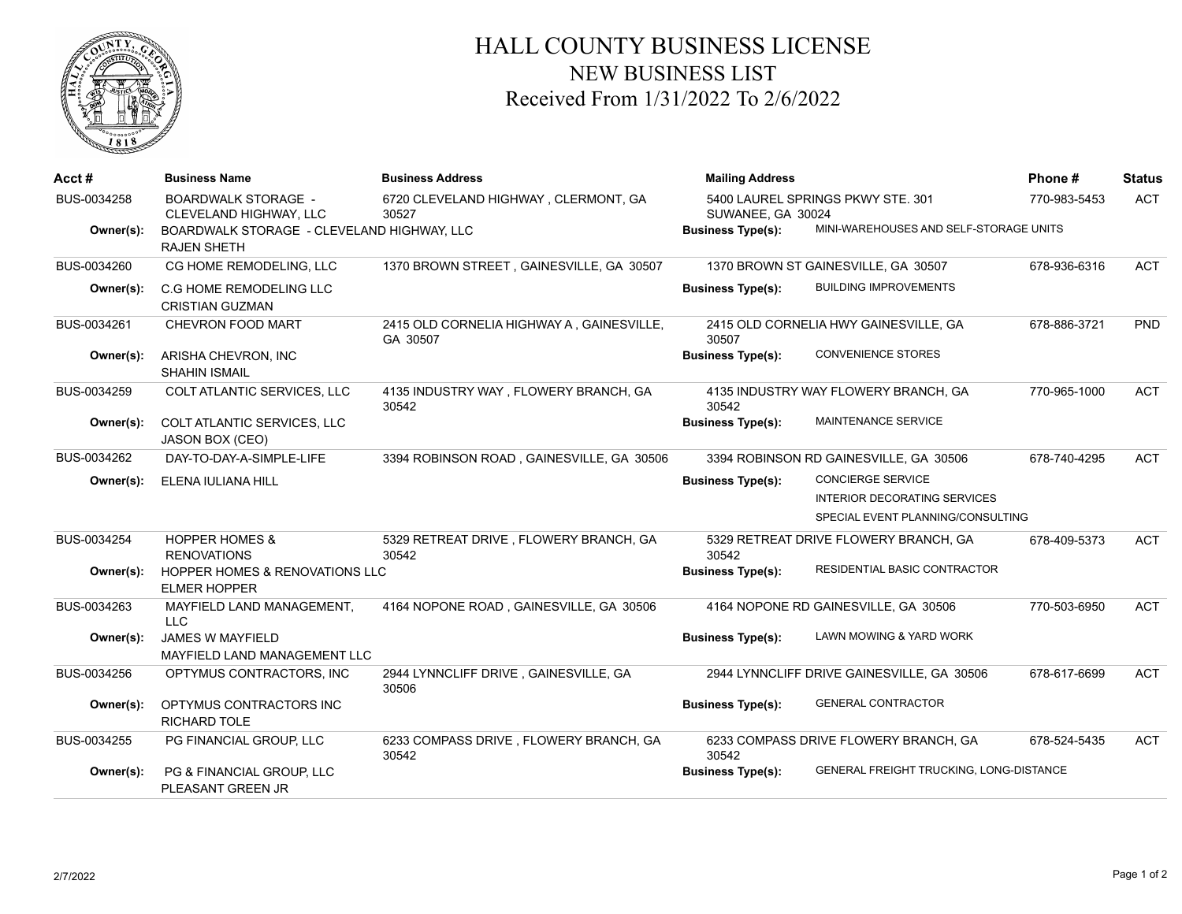

## HALL COUNTY BUSINESS LICENSE NEW BUSINESS LIST Received From 1/31/2022 To 2/6/2022

| Acct#       | <b>Business Name</b>                                             | <b>Business Address</b>                               | <b>Mailing Address</b>   |                                                                                                      | Phone #      | <b>Status</b> |
|-------------|------------------------------------------------------------------|-------------------------------------------------------|--------------------------|------------------------------------------------------------------------------------------------------|--------------|---------------|
| BUS-0034258 | <b>BOARDWALK STORAGE -</b><br>CLEVELAND HIGHWAY, LLC             | 6720 CLEVELAND HIGHWAY, CLERMONT, GA<br>30527         | SUWANEE, GA 30024        | 5400 LAUREL SPRINGS PKWY STE. 301                                                                    | 770-983-5453 | <b>ACT</b>    |
| Owner(s):   | BOARDWALK STORAGE - CLEVELAND HIGHWAY, LLC<br><b>RAJEN SHETH</b> |                                                       | <b>Business Type(s):</b> | MINI-WAREHOUSES AND SELF-STORAGE UNITS                                                               |              |               |
| BUS-0034260 | CG HOME REMODELING, LLC                                          | 1370 BROWN STREET, GAINESVILLE, GA 30507              |                          | 1370 BROWN ST GAINESVILLE, GA 30507                                                                  | 678-936-6316 | <b>ACT</b>    |
| Owner(s):   | C.G HOME REMODELING LLC<br><b>CRISTIAN GUZMAN</b>                |                                                       | <b>Business Type(s):</b> | <b>BUILDING IMPROVEMENTS</b>                                                                         |              |               |
| BUS-0034261 | <b>CHEVRON FOOD MART</b>                                         | 2415 OLD CORNELIA HIGHWAY A, GAINESVILLE,<br>GA 30507 | 30507                    | 2415 OLD CORNELIA HWY GAINESVILLE, GA                                                                | 678-886-3721 | <b>PND</b>    |
| Owner(s):   | ARISHA CHEVRON, INC<br><b>SHAHIN ISMAIL</b>                      |                                                       | <b>Business Type(s):</b> | <b>CONVENIENCE STORES</b>                                                                            |              |               |
| BUS-0034259 | COLT ATLANTIC SERVICES, LLC                                      | 4135 INDUSTRY WAY, FLOWERY BRANCH, GA<br>30542        | 30542                    | 4135 INDUSTRY WAY FLOWERY BRANCH, GA                                                                 | 770-965-1000 | <b>ACT</b>    |
| Owner(s):   | COLT ATLANTIC SERVICES, LLC<br>JASON BOX (CEO)                   |                                                       | <b>Business Type(s):</b> | <b>MAINTENANCE SERVICE</b>                                                                           |              |               |
| BUS-0034262 | DAY-TO-DAY-A-SIMPLE-LIFE                                         | 3394 ROBINSON ROAD, GAINESVILLE, GA 30506             |                          | 3394 ROBINSON RD GAINESVILLE, GA 30506                                                               | 678-740-4295 | <b>ACT</b>    |
| Owner(s):   | ELENA IULIANA HILL                                               |                                                       | <b>Business Type(s):</b> | <b>CONCIERGE SERVICE</b><br><b>INTERIOR DECORATING SERVICES</b><br>SPECIAL EVENT PLANNING/CONSULTING |              |               |
| BUS-0034254 | <b>HOPPER HOMES &amp;</b><br><b>RENOVATIONS</b>                  | 5329 RETREAT DRIVE, FLOWERY BRANCH, GA<br>30542       | 30542                    | 5329 RETREAT DRIVE FLOWERY BRANCH, GA                                                                | 678-409-5373 | <b>ACT</b>    |
| Owner(s):   | <b>HOPPER HOMES &amp; RENOVATIONS LLC</b><br><b>ELMER HOPPER</b> |                                                       | <b>Business Type(s):</b> | RESIDENTIAL BASIC CONTRACTOR                                                                         |              |               |
| BUS-0034263 | MAYFIELD LAND MANAGEMENT,<br><b>LLC</b>                          | 4164 NOPONE ROAD, GAINESVILLE, GA 30506               |                          | 4164 NOPONE RD GAINESVILLE, GA 30506                                                                 | 770-503-6950 | <b>ACT</b>    |
| Owner(s):   | <b>JAMES W MAYFIELD</b><br>MAYFIELD LAND MANAGEMENT LLC          |                                                       | <b>Business Type(s):</b> | LAWN MOWING & YARD WORK                                                                              |              |               |
| BUS-0034256 | OPTYMUS CONTRACTORS, INC                                         | 2944 LYNNCLIFF DRIVE, GAINESVILLE, GA<br>30506        |                          | 2944 LYNNCLIFF DRIVE GAINESVILLE, GA 30506                                                           | 678-617-6699 | <b>ACT</b>    |
| Owner(s):   | OPTYMUS CONTRACTORS INC<br>RICHARD TOLE                          |                                                       | <b>Business Type(s):</b> | <b>GENERAL CONTRACTOR</b>                                                                            |              |               |
| BUS-0034255 | PG FINANCIAL GROUP, LLC                                          | 6233 COMPASS DRIVE, FLOWERY BRANCH, GA<br>30542       | 30542                    | 6233 COMPASS DRIVE FLOWERY BRANCH, GA                                                                | 678-524-5435 | <b>ACT</b>    |
| Owner(s):   | PG & FINANCIAL GROUP, LLC<br>PLEASANT GREEN JR                   |                                                       | <b>Business Type(s):</b> | GENERAL FREIGHT TRUCKING, LONG-DISTANCE                                                              |              |               |